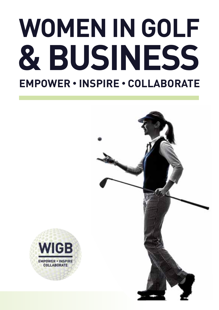# **& BUSINESS WOMEN IN GOLF EMPOWER • INSPIRE • COLLABORATE**



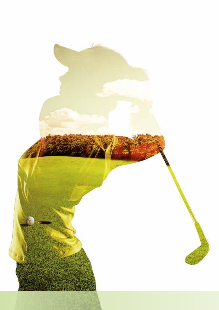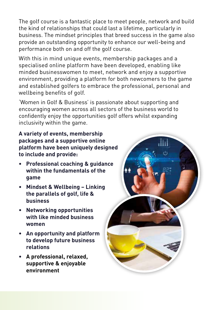The golf course is a fantastic place to meet people, network and build the kind of relationships that could last a lifetime, particularly in business. The mindset principles that breed success in the game also provide an outstanding opportunity to enhance our well-being and performance both on and off the golf course.

With this in mind unique events, membership packages and a specialised online platform have been developed, enabling like minded businesswomen to meet, network and enjoy a supportive environment, providing a platform for both newcomers to the game and established golfers to embrace the professional, personal and wellbeing benefits of golf.

'Women in Golf & Business' is passionate about supporting and encouraging women across all sectors of the business world to confidently enjoy the opportunities golf offers whilst expanding inclusivity within the game.

**A variety of events, membership packages and a supportive online platform have been uniquely designed to include and provide:** 

- **Professional coaching & guidance within the fundamentals of the game**
- **Mindset & Wellbeing Linking the parallels of golf, life & business**
- **Networking opportunities with like minded business women**
- **An opportunity and platform to develop future business relations**
- **A professional, relaxed, supportive & enjoyable environment**

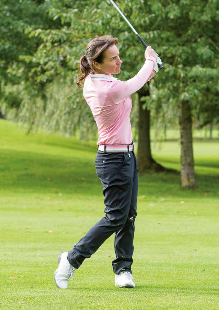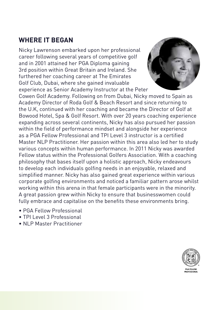# **WHERE IT BEGAN**

Nicky Lawrenson embarked upon her professional career following several years of competitive golf and in 2001 attained her PGA Diploma gaining 3rd position within Great Britain and Ireland. She furthered her coaching career at The Emirates Golf Club, Dubai, where she gained invaluable experience as Senior Academy Instructor at the Peter



Cowen Golf Academy. Following on from Dubai, Nicky moved to Spain as Academy Director of Roda Golf & Beach Resort and since returning to the U.K, continued with her coaching and became the Director of Golf at Bowood Hotel, Spa & Golf Resort. With over 20 years coaching experience expanding across several continents, Nicky has also pursued her passion within the field of performance mindset and alongside her experience as a PGA Fellow Professional and TPI Level 3 instructor is a certified Master NLP Practitioner. Her passion within this area also led her to study various concepts within human performance. In 2011 Nicky was awarded Fellow status within the Professional Golfers Association. With a coaching philosophy that bases itself upon a holistic approach, Nicky endeavours to develop each individuals golfing needs in an enjoyable, relaxed and simplified manner. Nicky has also gained great experience within various corporate golfing environments and noticed a familiar pattern arose whilst working within this arena in that female participants were in the minority. A great passion grew within Nicky to ensure that businesswomen could fully embrace and capitalise on the benefits these environments bring.

- PGA Fellow Professional
- TPI Level 3 Professional
- NLP Master Practitioner

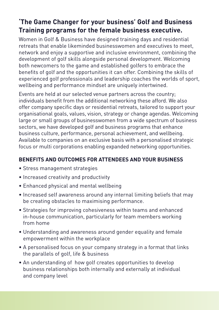# **'The Game Changer for your business' Golf and Business Training programs for the female business executive.**

Women in Golf & Business have designed training days and residential retreats that enable likeminded businesswomen and executives to meet, network and enjoy a supportive and inclusive environment, combining the development of golf skills alongside personal development. Welcoming both newcomers to the game and established golfers to embrace the benefits of golf and the opportunities it can offer. Combining the skills of experienced golf professionals and leadership coaches the worlds of sport, wellbeing and performance mindset are uniquely intertwined.

Events are held at our selected venue partners across the country; individuals benefit from the additional networking these afford. We also offer company specific days or residential retreats, tailored to support your organisational goals, values, vision, strategy or change agendas. Welcoming large or small groups of businesswomen from a wide spectrum of business sectors, we have developed golf and business programs that enhance business culture, performance, personal achievement, and wellbeing. Available to companies on an exclusive basis with a personalised strategic focus or multi corporations enabling expanded networking opportunities.

#### **BENEFITS AND OUTCOMES FOR ATTENDEES AND YOUR BUSINESS**

- Stress management strategies
- Increased creativity and productivity
- Enhanced physical and mental wellbeing
- Increased self awareness around any internal limiting beliefs that may be creating obstacles to maximising performance.
- Strategies for improving cohesiveness within teams and enhanced in-house communication, particularly for team members working from home
- Understanding and awareness around gender equality and female empowerment within the workplace
- A personalised focus on your company strategy in a format that links the parallels of golf, life & business
- An understanding of how golf creates opportunities to develop business relationships both internally and externally at individual and company level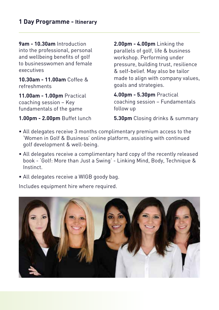#### **1 Day Programme - Itinerary**

**9am - 10.30am** Introduction into the professional, personal and wellbeing benefits of golf to businesswomen and female executives

**10.30am - 11.00am** Coffee & refreshments

**11.00am - 1.00pm** Practical coaching session – Key fundamentals of the game

**2.00pm - 4.00pm** Linking the parallels of golf, life & business workshop. Performing under pressure, building trust, resilience & self-belief. May also be tailor made to align with company values, goals and strategies.

**4.00pm - 5.30pm** Practical coaching session – Fundamentals follow up

**1.00pm - 2.00pm** Buffet lunch

**5.30pm** Closing drinks & summary

- All delegates receive 3 months complimentary premium access to the 'Women in Golf & Business' online platform, assisting with continued golf development & well-being.
- All delegates receive a complimentary hard copy of the recently released book - 'Golf: More than Just a Swing' - Linking Mind, Body, Technique & Instinct.
- All delegates receive a WIGB goody bag.

Includes equipment hire where required.

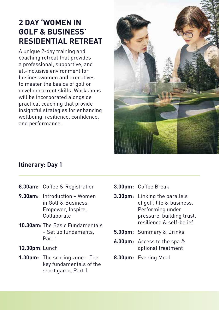# **2 DAY 'WOMEN IN GOLF & BUSINESS' RESIDENTIAL RETREAT**

A unique 2-day training and coaching retreat that provides a professional, supportive, and all-inclusive environment for businesswomen and executives to master the basics of golf or develop current skills. Workshops will be incorporated alongside practical coaching that provide insightful strategies for enhancing wellbeing, resilience, confidence, and performance.



#### **Itinerary: Day 1**

- **8.30am:** Coffee & Registration
- **9.30am:** Introduction Women in Golf & Business, Empower, Inspire, Collaborate
- **10.30am:** The Basic Fundamentals – Set up fundaments, Part 1
- **12.30pm:** Lunch
- **1.30pm:** The scoring zone The key fundamentals of the short game, Part 1
- **3.00pm:** Coffee Break
- **3.30pm:** Linking the parallels of golf, life & business. Performing under pressure, building trust, resilience & self-belief.
- **5.00pm:** Summary & Drinks
- **6.00pm:** Access to the spa & optional treatment
- **8.00pm:** Evening Meal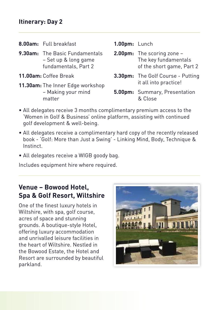#### **Itinerary: Day 2**

**8.00am:** Full breakfast

**9.30am:** The Basic Fundamentals – Set up & long game fundamentals, Part 2

**11.00am:** Coffee Break

**11.30am:** The Inner Edge workshop – Making your mind matter

**1.00pm:** Lunch

- **2.00pm:** The scoring zone The key fundamentals of the short game, Part 2
- **3.30pm:** The Golf Course Putting it all into practice!
- **5.00pm:** Summary, Presentation & Close
- All delegates receive 3 months complimentary premium access to the 'Women in Golf & Business' online platform, assisting with continued golf development & well-being.
- All delegates receive a complimentary hard copy of the recently released book - 'Golf: More than Just a Swing' - Linking Mind, Body, Technique & Instinct.
- All delegates receive a WIGB goody bag.

Includes equipment hire where required.

### **Venue – Bowood Hotel, Spa & Golf Resort, Wiltshire**

One of the finest luxury hotels in Wiltshire, with spa, golf course, acres of space and stunning grounds. A boutique-style Hotel, offering luxury accommodation and unrivalled leisure facilities in the heart of Wiltshire. Nestled in the Bowood Estate, the Hotel and Resort are surrounded by beautiful parkland.

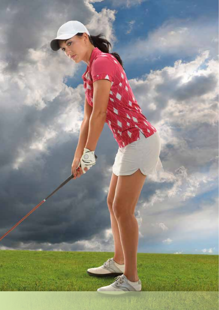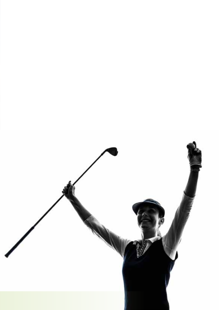